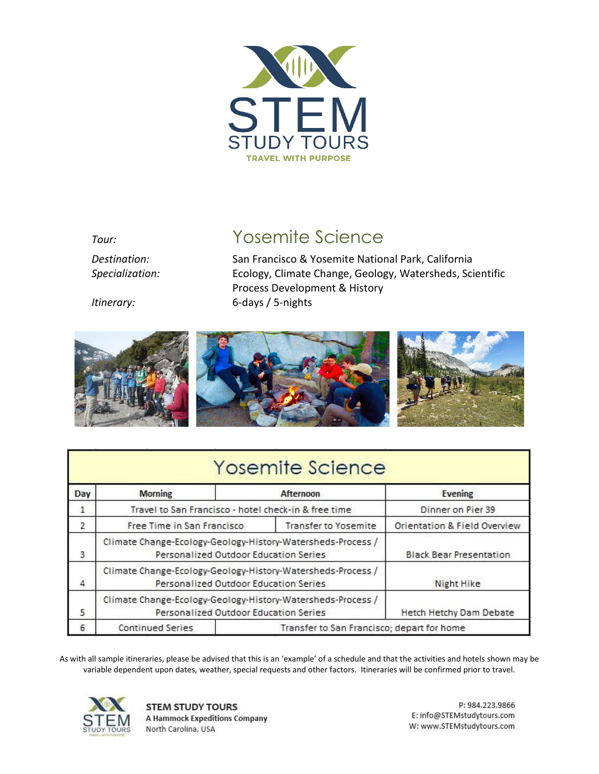

# *Tour:* Yosemite Science

*Destination:* San Francisco & Yosemite National Park, California *Specialization:* Ecology, Climate Change, Geology, Watersheds, Scientific Process Development & History *Itinerary:* 6-days / 5-nights





| Yosemite Science |
|------------------|
|------------------|

| Day | <b>Morning</b>                                                                                       |                                            | Afternoon                    | Evening                        |
|-----|------------------------------------------------------------------------------------------------------|--------------------------------------------|------------------------------|--------------------------------|
| 1   | Travel to San Francisco - hotel check-in & free time                                                 |                                            |                              | Dinner on Pier 39              |
| 2   | Free Time in San Francisco<br><b>Transfer to Yosemite</b>                                            |                                            | Orientation & Field Overview |                                |
| 3   | Climate Change-Ecology-Geology-History-Watersheds-Process /<br>Personalized Outdoor Education Series |                                            |                              | <b>Black Bear Presentation</b> |
| 4   | Climate Change-Ecology-Geology-History-Watersheds-Process /<br>Personalized Outdoor Education Series |                                            |                              | Night Hike                     |
| 5   | Climate Change-Ecology-Geology-History-Watersheds-Process /<br>Personalized Outdoor Education Series |                                            |                              | Hetch Hetchy Dam Debate        |
| 6   | <b>Continued Series</b>                                                                              | Transfer to San Francisco; depart for home |                              |                                |

As with all sample itineraries, please be advised that this is an 'example' of a schedule and that the activities and hotels shown may be variable dependent upon dates, weather, special requests and other factors. Itineraries will be confirmed prior to travel.



**STEM STUDY TOURS A Hammock Expeditions Company** North Carolina, USA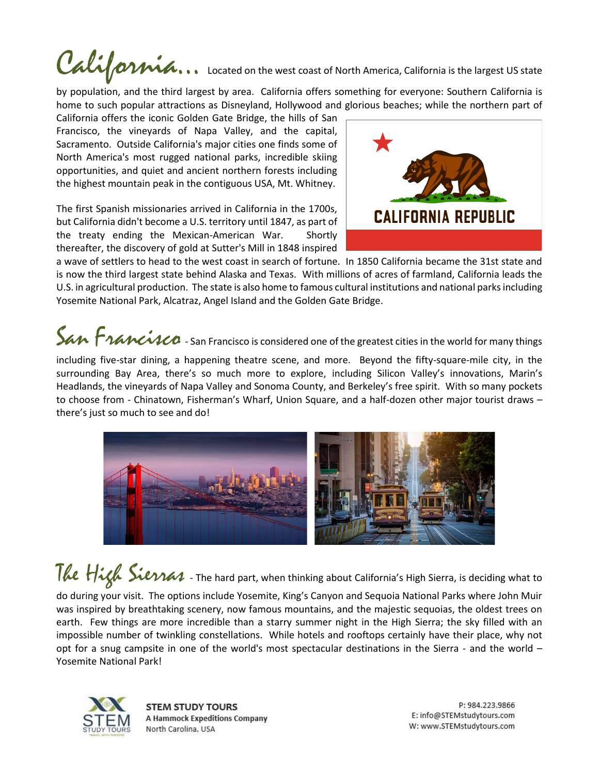# California is the largest US state

by population, and the third largest by area. California offers something for everyone: Southern California is home to such popular attractions as Disneyland, Hollywood and glorious beaches; while the northern part of

California offers the iconic Golden Gate Bridge, the hills of San Francisco, the vineyards of Napa Valley, and the capital, Sacramento. Outside California's major cities one finds some of North America's most rugged national parks, incredible skiing opportunities, and quiet and ancient northern forests including the highest mountain peak in the contiguous USA, Mt. Whitney.

The first Spanish missionaries arrived in California in the 1700s, but California didn't become a U.S. territory until 1847, as part of the treaty ending the Mexican-American War. Shortly thereafter, the discovery of gold at Sutter's Mill in 1848 inspired



a wave of settlers to head to the west coast in search of fortune. In 1850 California became the 31st state and is now the third largest state behind Alaska and Texas. With millions of acres of farmland, California leads the U.S. in agricultural production. The state is also home to famous cultural institutions and national parks including Yosemite National Park, Alcatraz, Angel Island and the Golden Gate Bridge.

# San Francisco is considered one of the greatest cities in the world for many things

including five-star dining, a happening theatre scene, and more. Beyond the fifty-square-mile city, in the surrounding Bay Area, there's so much more to explore, including Silicon Valley's innovations, Marin's Headlands, the vineyards of Napa Valley and Sonoma County, and Berkeley's free spirit. With so many pockets to choose from - Chinatown, Fisherman's Wharf, Union Square, and a half-dozen other major tourist draws – there's just so much to see and do!



# The High Sierras - The hard part, when thinking about California's High Sierra, is deciding what to

do during your visit. The options include Yosemite, King's Canyon and Sequoia National Parks where John Muir was inspired by breathtaking scenery, now famous mountains, and the majestic sequoias, the oldest trees on earth. Few things are more incredible than a starry summer night in the High Sierra; the sky filled with an impossible number of twinkling constellations. While hotels and rooftops certainly have their place, why not opt for a snug campsite in one of the world's most spectacular destinations in the Sierra - and the world – Yosemite National Park!



**STEM STUDY TOURS A Hammock Expeditions Company** North Carolina, USA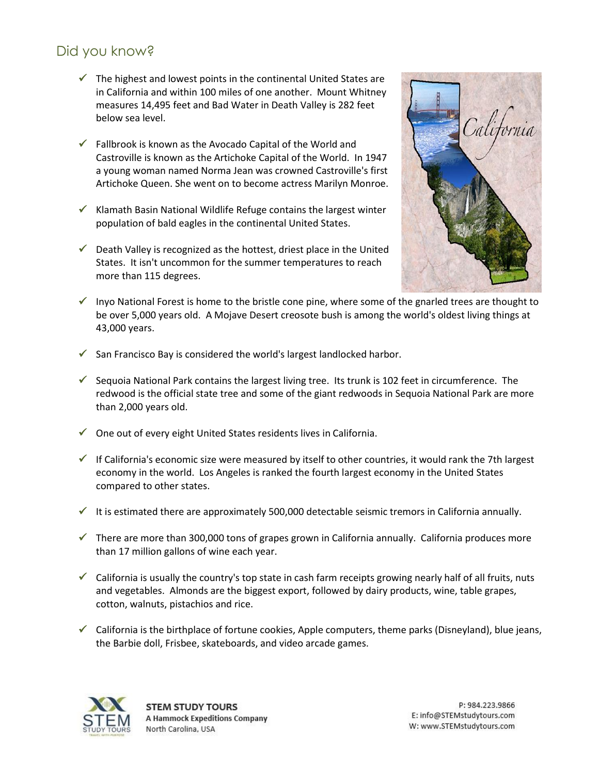# Did you know?

- $\checkmark$  The highest and lowest points in the continental United States are in California and within 100 miles of one another. Mount Whitney measures 14,495 feet and Bad Water in Death Valley is 282 feet below sea level.
- $\checkmark$  Fallbrook is known as the Avocado Capital of the World and Castroville is known as the Artichoke Capital of the World. In 1947 a young woman named Norma Jean was crowned Castroville's first Artichoke Queen. She went on to become actress Marilyn Monroe.
- $\checkmark$  Klamath Basin National Wildlife Refuge contains the largest winter population of bald eagles in the continental United States.
- $\checkmark$  Death Valley is recognized as the hottest, driest place in the United States. It isn't uncommon for the summer temperatures to reach more than 115 degrees.



- $\checkmark$  Inyo National Forest is home to the bristle cone pine, where some of the gnarled trees are thought to be over 5,000 years old. A Mojave Desert creosote bush is among the world's oldest living things at 43,000 years.
- ✓ San Francisco Bay is considered the world's largest landlocked harbor.
- $\checkmark$  Sequoia National Park contains the largest living tree. Its trunk is 102 feet in circumference. The redwood is the official state tree and some of the giant redwoods in Sequoia National Park are more than 2,000 years old.
- $\checkmark$  One out of every eight United States residents lives in California.
- $\checkmark$  If California's economic size were measured by itself to other countries, it would rank the 7th largest economy in the world. Los Angeles is ranked the fourth largest economy in the United States compared to other states.
- $\checkmark$  It is estimated there are approximately 500,000 detectable seismic tremors in California annually.
- $\checkmark$  There are more than 300,000 tons of grapes grown in California annually. California produces more than 17 million gallons of wine each year.
- $\checkmark$  California is usually the country's top state in cash farm receipts growing nearly half of all fruits, nuts and vegetables. Almonds are the biggest export, followed by dairy products, wine, table grapes, cotton, walnuts, pistachios and rice.
- $\checkmark$  California is the birthplace of fortune cookies, Apple computers, theme parks (Disneyland), blue jeans, the Barbie doll, Frisbee, skateboards, and video arcade games.

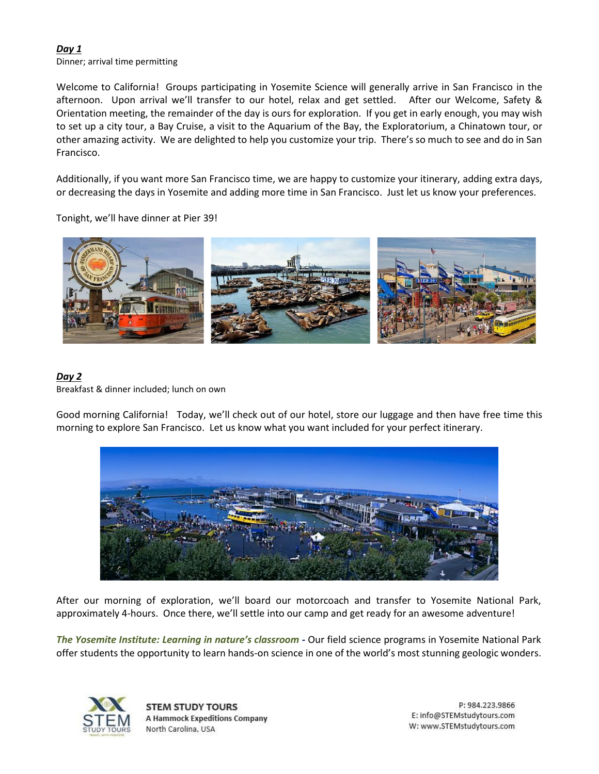#### *Day 1*

Dinner; arrival time permitting

Welcome to California! Groups participating in Yosemite Science will generally arrive in San Francisco in the afternoon. Upon arrival we'll transfer to our hotel, relax and get settled. After our Welcome, Safety & Orientation meeting, the remainder of the day is ours for exploration. If you get in early enough, you may wish to set up a city tour, a Bay Cruise, a visit to the Aquarium of the Bay, the Exploratorium, a Chinatown tour, or other amazing activity. We are delighted to help you customize your trip. There's so much to see and do in San Francisco.

Additionally, if you want more San Francisco time, we are happy to customize your itinerary, adding extra days, or decreasing the days in Yosemite and adding more time in San Francisco. Just let us know your preferences.

Tonight, we'll have dinner at Pier 39!



#### *Day 2* Breakfast & dinner included; lunch on own

Good morning California! Today, we'll check out of our hotel, store our luggage and then have free time this morning to explore San Francisco. Let us know what you want included for your perfect itinerary.



After our morning of exploration, we'll board our motorcoach and transfer to Yosemite National Park, approximately 4-hours. Once there, we'll settle into our camp and get ready for an awesome adventure!

*The Yosemite Institute: Learning in nature's classroom -* Our field science programs in Yosemite National Park offer students the opportunity to learn hands-on science in one of the world's most stunning geologic wonders.



**STEM STUDY TOURS A Hammock Expeditions Company** North Carolina, USA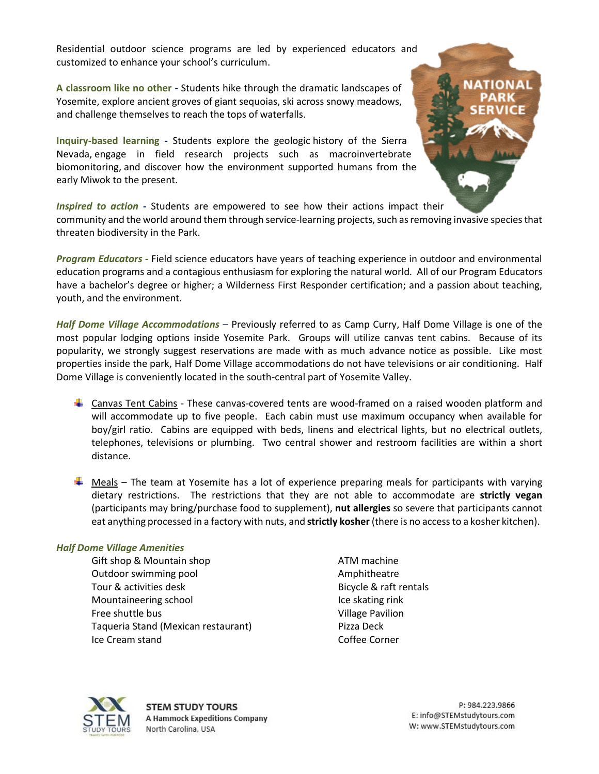Residential outdoor science programs are led by experienced educators and customized to enhance your school's curriculum.

**A classroom like no other -** Students hike through the dramatic landscapes of Yosemite, explore ancient groves of giant sequoias, ski across snowy meadows, and challenge themselves to reach the tops of waterfalls.

**Inquiry-based learning -** Students explore the geologic history of the Sierra Nevada, engage in field research projects such as macroinvertebrate biomonitoring, and discover how the environment supported humans from the early Miwok to the present.

*Inspired to action* **-** Students are empowered to see how their actions impact their community and the world around them through service-learning projects, such as removing invasive species that threaten biodiversity in the Park.

*Program Educators* **-** Field science educators have years of teaching experience in outdoor and environmental education programs and a contagious enthusiasm for exploring the natural world. All of our Program Educators have a bachelor's degree or higher; a Wilderness First Responder certification; and a passion about teaching, youth, and the environment.

*Half Dome Village Accommodations* – Previously referred to as Camp Curry, Half Dome Village is one of the most popular lodging options inside Yosemite Park. Groups will utilize canvas tent cabins. Because of its popularity, we strongly suggest reservations are made with as much advance notice as possible. Like most properties inside the park, Half Dome Village accommodations do not have televisions or air conditioning. Half Dome Village is conveniently located in the south-central part of Yosemite Valley.

- **↓** Canvas Tent Cabins These canvas-covered tents are wood-framed on a raised wooden platform and will accommodate up to five people. Each cabin must use maximum occupancy when available for boy/girl ratio. Cabins are equipped with beds, linens and electrical lights, but no electrical outlets, telephones, televisions or plumbing. Two central shower and restroom facilities are within a short distance.
- $\frac{1}{2}$  Meals The team at Yosemite has a lot of experience preparing meals for participants with varying dietary restrictions. The restrictions that they are not able to accommodate are **strictly vegan** (participants may bring/purchase food to supplement), **nut allergies** so severe that participants cannot eat anything processed in a factory with nuts, and **strictly kosher** (there is no access to a kosher kitchen).

#### *Half Dome Village Amenities*

Gift shop & Mountain shop ATM machine Outdoor swimming pool and a manufacture of the Amphitheatre Tour & activities desk Bicycle & raft rentals Mountaineering school and a set of the skating rink Free shuttle bus **Village Pavilion** Taqueria Stand (Mexican restaurant) Pizza Deck Ice Cream stand Coffee Corner

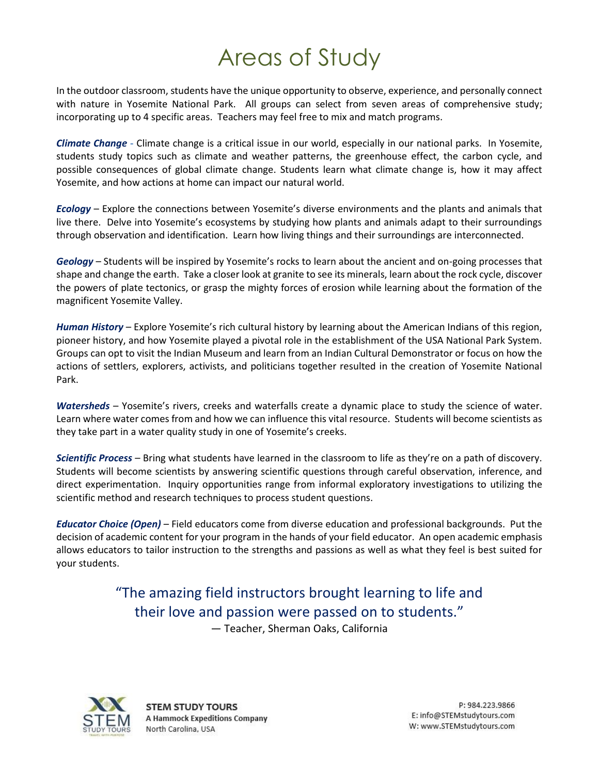# Areas of Study

In the outdoor classroom, students have the unique opportunity to observe, experience, and personally connect with nature in Yosemite National Park. All groups can select from seven areas of comprehensive study; incorporating up to 4 specific areas. Teachers may feel free to mix and match programs.

*Climate Change* **-** Climate change is a critical issue in our world, especially in our national parks. In Yosemite, students study topics such as climate and weather patterns, the greenhouse effect, the carbon cycle, and possible consequences of global climate change. Students learn what climate change is, how it may affect Yosemite, and how actions at home can impact our natural world.

*Ecology* – Explore the connections between Yosemite's diverse environments and the plants and animals that live there. Delve into Yosemite's ecosystems by studying how plants and animals adapt to their surroundings through observation and identification. Learn how living things and their surroundings are interconnected.

*Geology* – Students will be inspired by Yosemite's rocks to learn about the ancient and on-going processes that shape and change the earth. Take a closer look at granite to see its minerals, learn about the rock cycle, discover the powers of plate tectonics, or grasp the mighty forces of erosion while learning about the formation of the magnificent Yosemite Valley.

*Human History* – Explore Yosemite's rich cultural history by learning about the American Indians of this region, pioneer history, and how Yosemite played a pivotal role in the establishment of the USA National Park System. Groups can opt to visit the Indian Museum and learn from an Indian Cultural Demonstrator or focus on how the actions of settlers, explorers, activists, and politicians together resulted in the creation of Yosemite National Park.

*Watersheds* – Yosemite's rivers, creeks and waterfalls create a dynamic place to study the science of water. Learn where water comes from and how we can influence this vital resource. Students will become scientists as they take part in a water quality study in one of Yosemite's creeks.

*Scientific Process* – Bring what students have learned in the classroom to life as they're on a path of discovery. Students will become scientists by answering scientific questions through careful observation, inference, and direct experimentation. Inquiry opportunities range from informal exploratory investigations to utilizing the scientific method and research techniques to process student questions.

*Educator Choice (Open)* – Field educators come from diverse education and professional backgrounds. Put the decision of academic content for your program in the hands of your field educator. An open academic emphasis allows educators to tailor instruction to the strengths and passions as well as what they feel is best suited for your students.

# "The amazing field instructors brought learning to life and their love and passion were passed on to students." — Teacher, Sherman Oaks, California



**STEM STUDY TOURS A Hammock Expeditions Company** North Carolina, USA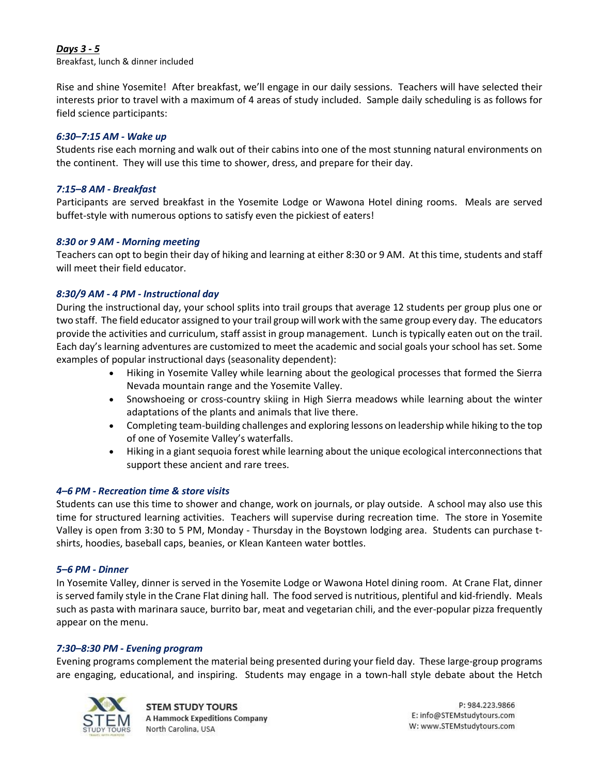#### *Days 3 - 5*

Breakfast, lunch & dinner included

Rise and shine Yosemite! After breakfast, we'll engage in our daily sessions. Teachers will have selected their interests prior to travel with a maximum of 4 areas of study included. Sample daily scheduling is as follows for field science participants:

#### *6:30–7:15 AM - Wake up*

Students rise each morning and walk out of their cabins into one of the most stunning natural environments on the continent. They will use this time to shower, dress, and prepare for their day.

#### *7:15–8 AM - Breakfast*

Participants are served breakfast in the Yosemite Lodge or Wawona Hotel dining rooms. Meals are served buffet-style with numerous options to satisfy even the pickiest of eaters!

#### *8:30 or 9 AM - Morning meeting*

Teachers can opt to begin their day of hiking and learning at either 8:30 or 9 AM. At this time, students and staff will meet their field educator.

#### *8:30/9 AM - 4 PM - Instructional day*

During the instructional day, your school splits into trail groups that average 12 students per group plus one or two staff. The field educator assigned to your trail group will work with the same group every day. The educators provide the activities and curriculum, staff assist in group management. Lunch is typically eaten out on the trail. Each day's learning adventures are customized to meet the academic and social goals your school has set. Some examples of popular instructional days (seasonality dependent):

- Hiking in Yosemite Valley while learning about the geological processes that formed the Sierra Nevada mountain range and the Yosemite Valley.
- Snowshoeing or cross-country skiing in High Sierra meadows while learning about the winter adaptations of the plants and animals that live there.
- Completing team-building challenges and exploring lessons on leadership while hiking to the top of one of Yosemite Valley's waterfalls.
- Hiking in a giant sequoia forest while learning about the unique ecological interconnections that support these ancient and rare trees.

#### *4–6 PM - Recreation time & store visits*

Students can use this time to shower and change, work on journals, or play outside. A school may also use this time for structured learning activities. Teachers will supervise during recreation time. The store in Yosemite Valley is open from 3:30 to 5 PM, Monday - Thursday in the Boystown lodging area. Students can purchase tshirts, hoodies, baseball caps, beanies, or Klean Kanteen water bottles.

#### *5–6 PM - Dinner*

In Yosemite Valley, dinner is served in the Yosemite Lodge or Wawona Hotel dining room. At Crane Flat, dinner is served family style in the Crane Flat dining hall. The food served is nutritious, plentiful and kid-friendly. Meals such as pasta with marinara sauce, burrito bar, meat and vegetarian chili, and the ever-popular pizza frequently appear on the menu.

#### *7:30–8:30 PM - Evening program*

Evening programs complement the material being presented during your field day. These large-group programs are engaging, educational, and inspiring. Students may engage in a town-hall style debate about the Hetch

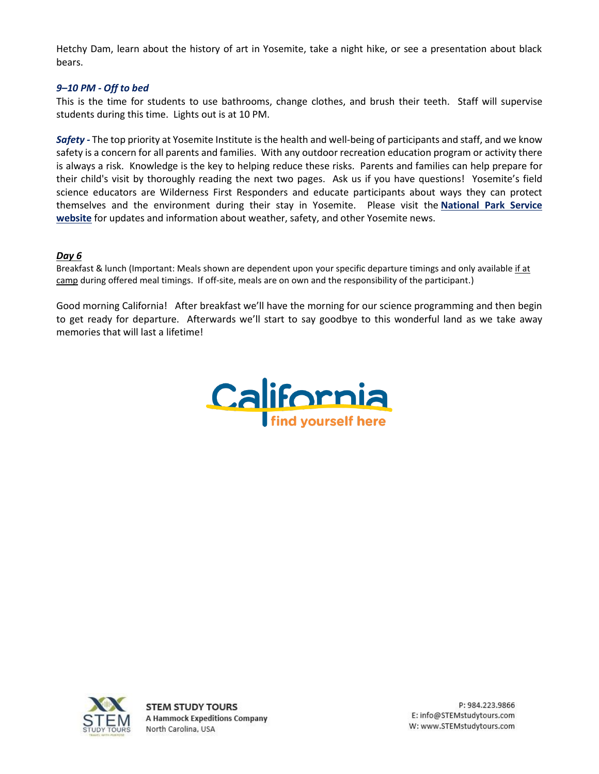Hetchy Dam, learn about the history of art in Yosemite, take a night hike, or see a presentation about black bears.

#### *9–10 PM - Off to bed*

This is the time for students to use bathrooms, change clothes, and brush their teeth. Staff will supervise students during this time. Lights out is at 10 PM.

*Safety -* The top priority at Yosemite Institute is the health and well-being of participants and staff, and we know safety is a concern for all parents and families. With any outdoor recreation education program or activity there is always a risk. Knowledge is the key to helping reduce these risks. Parents and families can help prepare for their child's visit by thoroughly reading the next two pages. Ask us if you have questions! Yosemite's field science educators are Wilderness First Responders and educate participants about ways they can protect themselves and the environment during their stay in Yosemite. Please visit the **[National Park Service](http://www.nps.gov/yose/index.htm)  [website](http://www.nps.gov/yose/index.htm)** for updates and information about weather, safety, and other Yosemite news.

#### *Day 6*

Breakfast & lunch (Important: Meals shown are dependent upon your specific departure timings and only available if at camp during offered meal timings. If off-site, meals are on own and the responsibility of the participant.)

Good morning California! After breakfast we'll have the morning for our science programming and then begin to get ready for departure. Afterwards we'll start to say goodbye to this wonderful land as we take away memories that will last a lifetime!



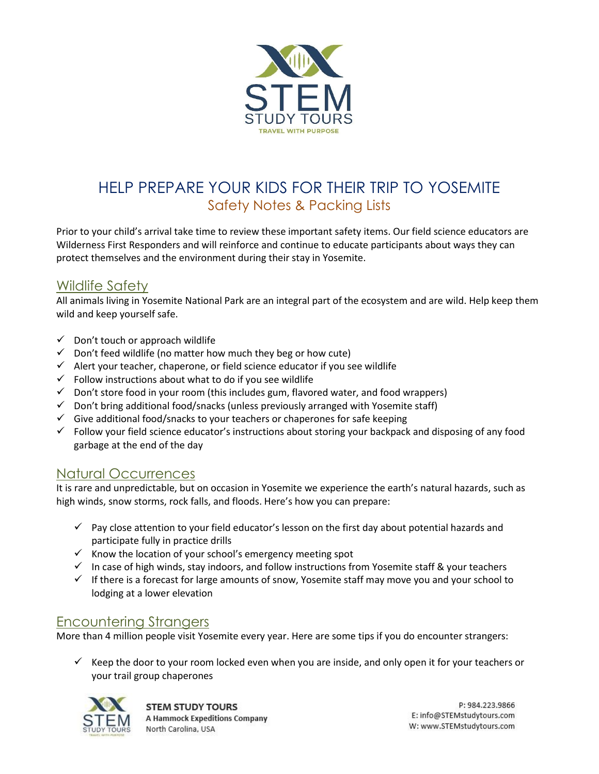

# HELP PREPARE YOUR KIDS FOR THEIR TRIP TO YOSEMITE Safety Notes & Packing Lists

Prior to your child's arrival take time to review these important safety items. Our field science educators are Wilderness First Responders and will reinforce and continue to educate participants about ways they can protect themselves and the environment during their stay in Yosemite.

# Wildlife Safety

All animals living in Yosemite National Park are an integral part of the ecosystem and are wild. Help keep them wild and keep yourself safe.

- $\checkmark$  Don't touch or approach wildlife
- $\checkmark$  Don't feed wildlife (no matter how much they beg or how cute)
- $\checkmark$  Alert your teacher, chaperone, or field science educator if you see wildlife
- $\checkmark$  Follow instructions about what to do if you see wildlife
- $\checkmark$  Don't store food in your room (this includes gum, flavored water, and food wrappers)
- $\checkmark$  Don't bring additional food/snacks (unless previously arranged with Yosemite staff)
- $\checkmark$  Give additional food/snacks to your teachers or chaperones for safe keeping
- $\checkmark$  Follow your field science educator's instructions about storing your backpack and disposing of any food garbage at the end of the day

### Natural Occurrences

It is rare and unpredictable, but on occasion in Yosemite we experience the earth's natural hazards, such as high winds, snow storms, rock falls, and floods. Here's how you can prepare:

- $\checkmark$  Pay close attention to your field educator's lesson on the first day about potential hazards and participate fully in practice drills
- ✓ Know the location of your school's emergency meeting spot
- ✓ In case of high winds, stay indoors, and follow instructions from Yosemite staff & your teachers
- ✓ If there is a forecast for large amounts of snow, Yosemite staff may move you and your school to lodging at a lower elevation

# Encountering Strangers

More than 4 million people visit Yosemite every year. Here are some tips if you do encounter strangers:

 $\checkmark$  Keep the door to your room locked even when you are inside, and only open it for your teachers or your trail group chaperones



**STEM STUDY TOURS A Hammock Expeditions Company** North Carolina, USA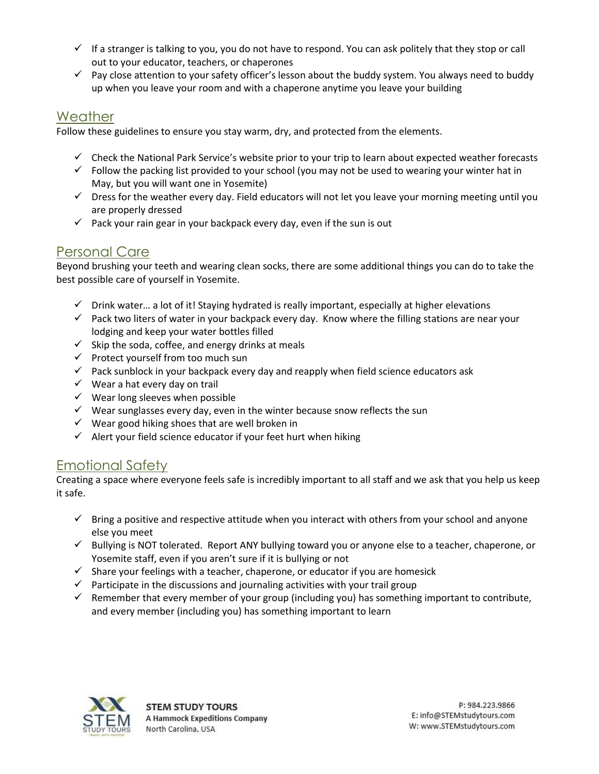- $\checkmark$  If a stranger is talking to you, you do not have to respond. You can ask politely that they stop or call out to your educator, teachers, or chaperones
- ✓ Pay close attention to your safety officer's lesson about the buddy system. You always need to buddy up when you leave your room and with a chaperone anytime you leave your building

## Weather

Follow these guidelines to ensure you stay warm, dry, and protected from the elements.

- $\checkmark$  Check the National Park Service's website prior to your trip to learn about expected weather forecasts
- $\checkmark$  Follow the packing list provided to your school (you may not be used to wearing your winter hat in May, but you will want one in Yosemite)
- $\checkmark$  Dress for the weather every day. Field educators will not let you leave your morning meeting until you are properly dressed
- $\checkmark$  Pack your rain gear in your backpack every day, even if the sun is out

# Personal Care

Beyond brushing your teeth and wearing clean socks, there are some additional things you can do to take the best possible care of yourself in Yosemite.

- ✓ Drink water… a lot of it! Staying hydrated is really important, especially at higher elevations
- $\checkmark$  Pack two liters of water in your backpack every day. Know where the filling stations are near your lodging and keep your water bottles filled
- $\checkmark$  Skip the soda, coffee, and energy drinks at meals
- ✓ Protect yourself from too much sun
- $\checkmark$  Pack sunblock in your backpack every day and reapply when field science educators ask
- $\checkmark$  Wear a hat every day on trail
- $\checkmark$  Wear long sleeves when possible
- $\checkmark$  Wear sunglasses every day, even in the winter because snow reflects the sun
- $\checkmark$  Wear good hiking shoes that are well broken in
- $\checkmark$  Alert your field science educator if your feet hurt when hiking

# Emotional Safety

Creating a space where everyone feels safe is incredibly important to all staff and we ask that you help us keep it safe.

- $\checkmark$  Bring a positive and respective attitude when you interact with others from your school and anyone else you meet
- ✓ Bullying is NOT tolerated. Report ANY bullying toward you or anyone else to a teacher, chaperone, or Yosemite staff, even if you aren't sure if it is bullying or not
- $\checkmark$  Share your feelings with a teacher, chaperone, or educator if you are homesick
- $\checkmark$  Participate in the discussions and journaling activities with your trail group
- $\checkmark$  Remember that every member of your group (including you) has something important to contribute, and every member (including you) has something important to learn

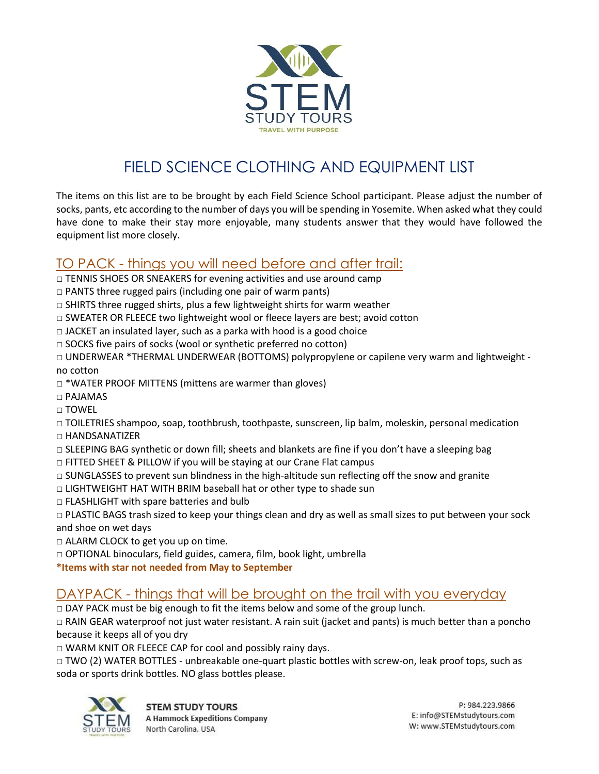

# FIELD SCIENCE CLOTHING AND EQUIPMENT LIST

The items on this list are to be brought by each Field Science School participant. Please adjust the number of socks, pants, etc according to the number of days you will be spending in Yosemite. When asked what they could have done to make their stay more enjoyable, many students answer that they would have followed the equipment list more closely.

# TO PACK - things you will need before and after trail:

- $\Box$  TENNIS SHOES OR SNEAKERS for evening activities and use around camp
- $\Box$  PANTS three rugged pairs (including one pair of warm pants)
- □ SHIRTS three rugged shirts, plus a few lightweight shirts for warm weather
- □ SWEATER OR FLEECE two lightweight wool or fleece layers are best; avoid cotton
- $\Box$  JACKET an insulated layer, such as a parka with hood is a good choice
- $\square$  SOCKS five pairs of socks (wool or synthetic preferred no cotton)
- □ UNDERWEAR \*THERMAL UNDERWEAR (BOTTOMS) polypropylene or capilene very warm and lightweight no cotton
- □ \*WATER PROOF MITTENS (mittens are warmer than gloves)
- □ PAJAMAS
- □ TOWEL

□ TOILETRIES shampoo, soap, toothbrush, toothpaste, sunscreen, lip balm, moleskin, personal medication

- □ HANDSANATIZER
- $\Box$  SLEEPING BAG synthetic or down fill; sheets and blankets are fine if you don't have a sleeping bag
- □ FITTED SHEET & PILLOW if you will be staying at our Crane Flat campus
- $\Box$  SUNGLASSES to prevent sun blindness in the high-altitude sun reflecting off the snow and granite
- □ LIGHTWEIGHT HAT WITH BRIM baseball hat or other type to shade sun
- □ FLASHLIGHT with spare batteries and bulb
- □ PLASTIC BAGS trash sized to keep your things clean and dry as well as small sizes to put between your sock and shoe on wet days
- $\Box$  ALARM CLOCK to get you up on time.
- □ OPTIONAL binoculars, field guides, camera, film, book light, umbrella
- **\*Items with star not needed from May to September**

### DAYPACK - things that will be brought on the trail with you everyday

 $\Box$  DAY PACK must be big enough to fit the items below and some of the group lunch.

□ RAIN GEAR waterproof not just water resistant. A rain suit (jacket and pants) is much better than a poncho because it keeps all of you dry

□ WARM KNIT OR FLEECE CAP for cool and possibly rainy days.

□ TWO (2) WATER BOTTLES - unbreakable one-quart plastic bottles with screw-on, leak proof tops, such as soda or sports drink bottles. NO glass bottles please.

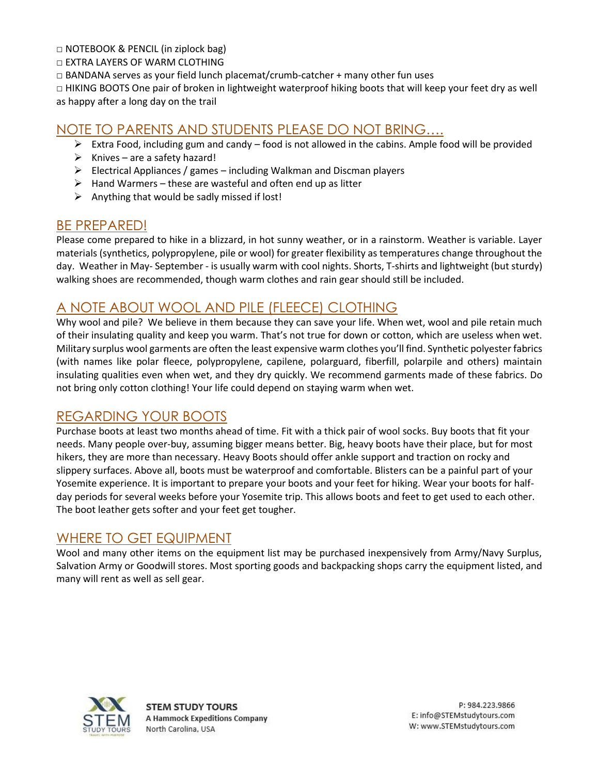$\Box$  NOTEBOOK & PENCIL (in ziplock bag)

□ EXTRA LAYERS OF WARM CLOTHING

 $\Box$  BANDANA serves as your field lunch placemat/crumb-catcher + many other fun uses

□ HIKING BOOTS One pair of broken in lightweight waterproof hiking boots that will keep your feet dry as well as happy after a long day on the trail

## NOTE TO PARENTS AND STUDENTS PLEASE DO NOT BRING….

- ➢ Extra Food, including gum and candy food is not allowed in the cabins. Ample food will be provided
- $\triangleright$  Knives are a safety hazard!
- $\triangleright$  Electrical Appliances / games including Walkman and Discman players
- $\triangleright$  Hand Warmers these are wasteful and often end up as litter
- $\triangleright$  Anything that would be sadly missed if lost!

### BE PREPARED!

Please come prepared to hike in a blizzard, in hot sunny weather, or in a rainstorm. Weather is variable. Layer materials (synthetics, polypropylene, pile or wool) for greater flexibility as temperatures change throughout the day. Weather in May- September - is usually warm with cool nights. Shorts, T-shirts and lightweight (but sturdy) walking shoes are recommended, though warm clothes and rain gear should still be included.

# A NOTE ABOUT WOOL AND PILE (FLEECE) CLOTHING

Why wool and pile? We believe in them because they can save your life. When wet, wool and pile retain much of their insulating quality and keep you warm. That's not true for down or cotton, which are useless when wet. Military surplus wool garments are often the least expensive warm clothes you'll find. Synthetic polyester fabrics (with names like polar fleece, polypropylene, capilene, polarguard, fiberfill, polarpile and others) maintain insulating qualities even when wet, and they dry quickly. We recommend garments made of these fabrics. Do not bring only cotton clothing! Your life could depend on staying warm when wet.

### REGARDING YOUR BOOTS

Purchase boots at least two months ahead of time. Fit with a thick pair of wool socks. Buy boots that fit your needs. Many people over-buy, assuming bigger means better. Big, heavy boots have their place, but for most hikers, they are more than necessary. Heavy Boots should offer ankle support and traction on rocky and slippery surfaces. Above all, boots must be waterproof and comfortable. Blisters can be a painful part of your Yosemite experience. It is important to prepare your boots and your feet for hiking. Wear your boots for halfday periods for several weeks before your Yosemite trip. This allows boots and feet to get used to each other. The boot leather gets softer and your feet get tougher.

# WHERE TO GET EQUIPMENT

Wool and many other items on the equipment list may be purchased inexpensively from Army/Navy Surplus, Salvation Army or Goodwill stores. Most sporting goods and backpacking shops carry the equipment listed, and many will rent as well as sell gear.



**STEM STUDY TOURS A Hammock Expeditions Company** North Carolina, USA